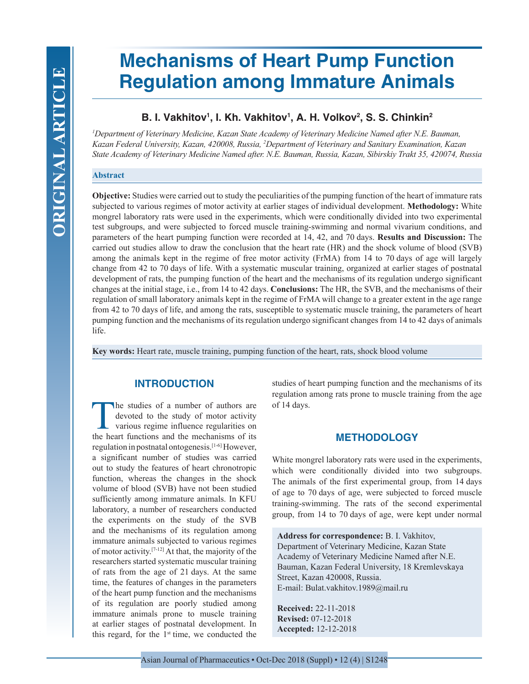# **Mechanisms of Heart Pump Function Regulation among Immature Animals**

# **B. I. Vakhitov1 , I. Kh. Vakhitov1 , A. H. Volkov2 , S. S. Chinkin2**

*1 Department of Veterinary Medicine, Kazan State Academy of Veterinary Medicine Named after N.E. Bauman, Kazan Federal University, Kazan, 420008, Russia, 2 Department of Veterinary and Sanitary Examination, Kazan State Academy of Veterinary Medicine Named after. N.E. Bauman, Russia, Kazan, Sibirskiy Trakt 35, 420074, Russia*

#### **Abstract**

**Objective:** Studies were carried out to study the peculiarities of the pumping function of the heart of immature rats subjected to various regimes of motor activity at earlier stages of individual development. **Methodology:** White mongrel laboratory rats were used in the experiments, which were conditionally divided into two experimental test subgroups, and were subjected to forced muscle training-swimming and normal vivarium conditions, and parameters of the heart pumping function were recorded at 14, 42, and 70 days. **Results and Discussion:** The carried out studies allow to draw the conclusion that the heart rate (HR) and the shock volume of blood (SVB) among the animals kept in the regime of free motor activity (FrMA) from 14 to 70 days of age will largely change from 42 to 70 days of life. With a systematic muscular training, organized at earlier stages of postnatal development of rats, the pumping function of the heart and the mechanisms of its regulation undergo significant changes at the initial stage, i.е., from 14 to 42 days. **Conclusions:** The HR, the SVB, and the mechanisms of their regulation of small laboratory animals kept in the regime of FrMA will change to a greater extent in the age range from 42 to 70 days of life, and among the rats, susceptible to systematic muscle training, the parameters of heart pumping function and the mechanisms of its regulation undergo significant changes from 14 to 42 days of animals life.

**Key words:** Heart rate, muscle training, pumping function of the heart, rats, shock blood volume

# **INTRODUCTION**

The studies of a number of authors are<br>devoted to the study of motor activity<br>various regime influence regularities on<br>the heart functions and the mechanisms of its devoted to the study of motor activity various regime influence regularities on the heart functions and the mechanisms of its regulation in postnatal ontogenesis.[1-6] However, a significant number of studies was carried out to study the features of heart chronotropic function, whereas the changes in the shock volume of blood (SVB) have not been studied sufficiently among immature animals. In KFU laboratory, a number of researchers conducted the experiments on the study of the SVB and the mechanisms of its regulation among immature animals subjected to various regimes of motor activity.[7-12] At that, the majority of the researchers started systematic muscular training of rats from the age of 21 days. At the same time, the features of changes in the parameters of the heart pump function and the mechanisms of its regulation are poorly studied among immature animals prone to muscle training at earlier stages of postnatal development. In this regard, for the  $1<sup>st</sup>$  time, we conducted the

studies of heart pumping function and the mechanisms of its regulation among rats prone to muscle training from the age of 14 days.

# **METHODOLOGY**

White mongrel laboratory rats were used in the experiments, which were conditionally divided into two subgroups. The animals of the first experimental group, from 14 days of age to 70 days of age, were subjected to forced muscle training-swimming. The rats of the second experimental group, from 14 to 70 days of age, were kept under normal

**Address for correspondence:** B. I. Vakhitov, Department of Veterinary Medicine, Kazan State Academy of Veterinary Medicine Named after N.E. Bauman, Kazan Federal University, 18 Kremlevskaya Street, Kazan 420008, Russia. E-mail: Bulat.vakhitov.1989@mail.ru

**Received:** 22-11-2018 **Revised:** 07-12-2018 **Accepted:** 12-12-2018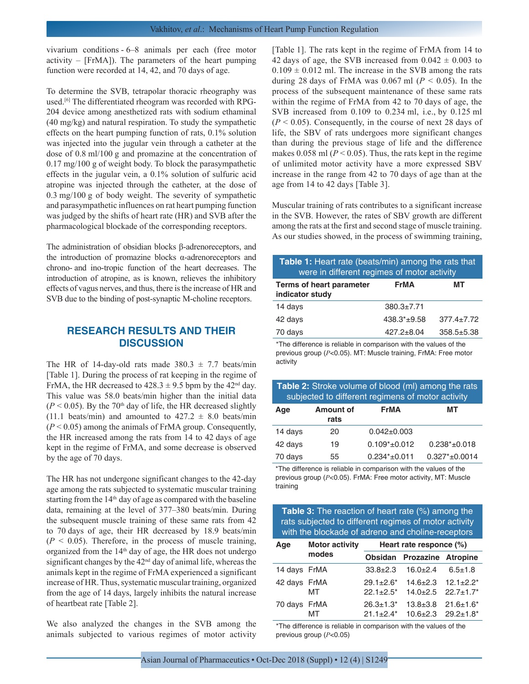vivarium conditions - 6–8 animals per each (free motor activity – [FrMA]). The parameters of the heart pumping function were recorded at 14, 42, and 70 days of age.

To determine the SVB, tetrapolar thoracic rheography was used.[6] The differentiated rheogram was recorded with RPG-204 device among anesthetized rats with sodium ethaminal (40 mg/kg) and natural respiration. To study the sympathetic effects on the heart pumping function of rats, 0.1% solution was injected into the jugular vein through a catheter at the dose of 0.8 ml/100 g and promazine at the concentration of 0.17 mg/100 g of weight body. To block the parasympathetic effects in the jugular vein, a 0.1% solution of sulfuric acid atropine was injected through the catheter, at the dose of 0.3 mg/100 g of body weight. The severity of sympathetic and parasympathetic influences on rat heart pumping function was judged by the shifts of heart rate (HR) and SVB after the pharmacological blockade of the corresponding receptors.

The administration of obsidian blocks β-adrenoreceptors, and the introduction of promazine blocks  $α$ -adrenoreceptors and chrono- and ino-tropic function of the heart decreases. The introduction of atropine, as is known, relieves the inhibitory effects of vagus nerves, and thus, there is the increase of HR and SVB due to the binding of post-synaptic M-choline receptors.

## **RESEARCH RESULTS AND THEIR DISCUSSION**

The HR of 14-day-old rats made  $380.3 \pm 7.7$  beats/min [Table 1]. During the process of rat keeping in the regime of FrMA, the HR decreased to  $428.3 \pm 9.5$  bpm by the  $42<sup>nd</sup>$  day. This value was 58.0 beats/min higher than the initial data  $(P < 0.05)$ . By the 70<sup>th</sup> day of life, the HR decreased slightly (11.1 beats/min) and amounted to  $427.2 \pm 8.0$  beats/min (*P* < 0.05) among the animals of FrMA group. Consequently, the HR increased among the rats from 14 to 42 days of age kept in the regime of FrMA, and some decrease is observed by the age of 70 days.

The HR has not undergone significant changes to the 42-day age among the rats subjected to systematic muscular training starting from the 14<sup>th</sup> day of age as compared with the baseline data, remaining at the level of 377–380 beats/min. During the subsequent muscle training of these same rats from 42 to 70 days of age, their HR decreased by 18.9 beats/min  $(P < 0.05)$ . Therefore, in the process of muscle training, organized from the 14th day of age, the HR does not undergo significant changes by the  $42<sup>nd</sup>$  day of animal life, whereas the animals kept in the regime of FrMA experienced a significant increase of HR. Thus, systematic muscular training, organized from the age of 14 days, largely inhibits the natural increase of heartbeat rate [Table 2].

We also analyzed the changes in the SVB among the animals subjected to various regimes of motor activity [Table 1]. The rats kept in the regime of FrMA from 14 to 42 days of age, the SVB increased from  $0.042 \pm 0.003$  to  $0.109 \pm 0.012$  ml. The increase in the SVB among the rats during 28 days of FrMA was  $0.067$  ml ( $P < 0.05$ ). In the process of the subsequent maintenance of these same rats within the regime of FrMA from 42 to 70 days of age, the SVB increased from 0.109 to 0.234 ml, i.e., by 0.125 ml  $(P < 0.05)$ . Consequently, in the course of next 28 days of life, the SBV of rats undergoes more significant changes than during the previous stage of life and the difference makes 0.058 ml ( $P < 0.05$ ). Thus, the rats kept in the regime of unlimited motor activity have a more expressed SBV increase in the range from 42 to 70 days of age than at the age from 14 to 42 days [Table 3].

Muscular training of rats contributes to a significant increase in the SVB. However, the rates of SBV growth are different among the rats at the first and second stage of muscle training. As our studies showed, in the process of swimming training,

| <b>Table 1:</b> Heart rate (beats/min) among the rats that<br>were in different regimes of motor activity |                  |                  |  |
|-----------------------------------------------------------------------------------------------------------|------------------|------------------|--|
| <b>Terms of heart parameter</b><br>indicator study                                                        | <b>FrMA</b>      | мт               |  |
| 14 days                                                                                                   | $380.3 \pm 7.71$ |                  |  |
| 42 days                                                                                                   | $438.3*+9.58$    | $377.4 \pm 7.72$ |  |
| 70 days                                                                                                   | $427.2 + 8.04$   | $358.5 + 5.38$   |  |

\*The difference is reliable in comparison with the values of the previous group (*Р*<0.05). MT: Muscle training, FrMA: Free motor activity

| Table 2: Stroke volume of blood (ml) among the rats |
|-----------------------------------------------------|
| subjected to different regimens of motor activity   |

| Age     | <b>Amount of</b><br>rats | <b>FrMA</b>         | мт                  |
|---------|--------------------------|---------------------|---------------------|
| 14 days | 20                       | $0.042 \pm 0.003$   |                     |
| 42 days | 19                       | $0.109^*$ ±0.012    | $0.238*_{\pm}0.018$ |
| 70 days | 55                       | $0.234*_{\pm}0.011$ | $0.327^* + 0.0014$  |

\*The difference is reliable in comparison with the values of the previous group (*Р*<0.05). FrMA: Free motor activity, MT: Muscle training

| <b>Table 3:</b> The reaction of heart rate (%) among the |
|----------------------------------------------------------|
| rats subjected to different regimes of motor activity    |
| with the blockade of adreno and choline-receptors        |

| Age          | <b>Motor activity</b><br>modes | Heart rate responce (%) |                                                                                                      |                                 |
|--------------|--------------------------------|-------------------------|------------------------------------------------------------------------------------------------------|---------------------------------|
|              |                                |                         | Obsidan Prozazine Atropine                                                                           |                                 |
| 14 days FrMA |                                |                         | $33.8 \pm 2.3$ 16.0 $\pm 2.4$                                                                        | $6.5 \pm 1.8$                   |
| 42 days FrMA | МT                             |                         | $29.1 \pm 2.6^*$ 14.6 $\pm 2.3$ 12.1 $\pm 2.2^*$<br>$22.1 \pm 2.5^*$ 14.0 $\pm 2.5$ 22.7 $\pm 1.7^*$ |                                 |
| 70 days FrMA | MT                             | $26.3 \pm 1.3^*$        | $21.1 \pm 2.4^*$ 10.6 $\pm 2.3$ 29.2 $\pm 1.8^*$                                                     | $13.8 \pm 3.8$ $21.6 \pm 1.6^*$ |

\*The difference is reliable in comparison with the values of the previous group (*Р*<0.05)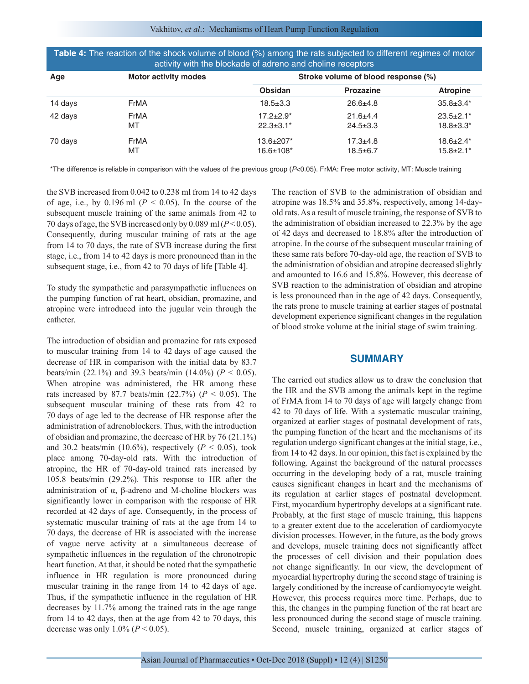Vakhitov, *et al*.: Mechanisms of Heart Pump Function Regulation

| activity with the blockade of adreno and choline receptors |                             |                                     |                                     |                                      |  |
|------------------------------------------------------------|-----------------------------|-------------------------------------|-------------------------------------|--------------------------------------|--|
| Age                                                        | <b>Motor activity modes</b> |                                     | Stroke volume of blood response (%) |                                      |  |
|                                                            |                             | Obsidan                             | <b>Prozazine</b>                    | <b>Atropine</b>                      |  |
| 14 days                                                    | FrMA                        | $18.5 \pm 3.3$                      | $26.6 \pm 4.8$                      | $35.8 \pm 3.4*$                      |  |
| 42 days                                                    | FrMA<br>МT                  | $17.2 \pm 2.9^*$<br>$22.3 \pm 3.1*$ | $21.6 + 4.4$<br>$24.5 \pm 3.3$      | $23.5 \pm 2.1^*$<br>$18.8 \pm 3.3^*$ |  |
| 70 days                                                    | FrMA<br>МT                  | 13.6±207*<br>$16.6 \pm 108^*$       | $17.3 + 4.8$<br>$18.5 \pm 6.7$      | $18.6 \pm 2.4^*$<br>$15.8 \pm 2.1^*$ |  |

**Table 4:** The reaction of the shock volume of blood (%) among the rats subjected to different regimes of motor

\*The difference is reliable in comparison with the values of the previous group (*P*<0.05). FrMA: Free motor activity, MT: Muscle training

the SVB increased from 0.042 to 0.238 ml from 14 to 42 days of age, i.e., by  $0.196$  ml ( $P < 0.05$ ). In the course of the subsequent muscle training of the same animals from 42 to 70 days of age, the SVB increased only by 0.089 ml (*P* < 0.05). Consequently, during muscular training of rats at the age from 14 to 70 days, the rate of SVB increase during the first stage, i.е., from 14 to 42 days is more pronounced than in the subsequent stage, i.e., from 42 to 70 days of life [Table 4].

To study the sympathetic and parasympathetic influences on the pumping function of rat heart, obsidian, promazine, and atropine were introduced into the jugular vein through the catheter.

The introduction of obsidian and promazine for rats exposed to muscular training from 14 to 42 days of age caused the decrease of HR in comparison with the initial data by 83.7 beats/min (22.1%) and 39.3 beats/min (14.0%) ( $P < 0.05$ ). When atropine was administered, the HR among these rats increased by 87.7 beats/min  $(22.7%)$   $(P < 0.05)$ . The subsequent muscular training of these rats from 42 to 70 days of age led to the decrease of HR response after the administration of adrenoblockers. Thus, with the introduction of obsidian and promazine, the decrease of HR by 76 (21.1%) and 30.2 beats/min (10.6%), respectively  $(P < 0.05)$ , took place among 70-day-old rats. With the introduction of atropine, the HR of 70-day-old trained rats increased by 105.8 beats/min (29.2%). This response to HR after the administration of α, β-adreno and M-choline blockers was significantly lower in comparison with the response of HR recorded at 42 days of age. Consequently, in the process of systematic muscular training of rats at the age from 14 to 70 days, the decrease of HR is associated with the increase of vague nerve activity at a simultaneous decrease of sympathetic influences in the regulation of the chronotropic heart function. At that, it should be noted that the sympathetic influence in HR regulation is more pronounced during muscular training in the range from 14 to 42 days of age. Thus, if the sympathetic influence in the regulation of HR decreases by 11.7% among the trained rats in the age range from 14 to 42 days, then at the age from 42 to 70 days, this decrease was only  $1.0\%$  ( $P < 0.05$ ).

The reaction of SVB to the administration of obsidian and atropine was 18.5% and 35.8%, respectively, among 14-dayold rats. As a result of muscle training, the response of SVB to the administration of obsidian increased to 22.3% by the age of 42 days and decreased to 18.8% after the introduction of atropine. In the course of the subsequent muscular training of these same rats before 70-day-old age, the reaction of SVB to the administration of obsidian and atropine decreased slightly and amounted to 16.6 and 15.8%. However, this decrease of SVB reaction to the administration of obsidian and atropine is less pronounced than in the age of 42 days. Consequently, the rats prone to muscle training at earlier stages of postnatal development experience significant changes in the regulation of blood stroke volume at the initial stage of swim training.

#### **SUMMARY**

The carried out studies allow us to draw the conclusion that the HR and the SVB among the animals kept in the regime of FrMA from 14 to 70 days of age will largely change from 42 to 70 days of life. With a systematic muscular training, organized at earlier stages of postnatal development of rats, the pumping function of the heart and the mechanisms of its regulation undergo significant changes at the initial stage, i.е., from 14 to 42 days. In our opinion, this fact is explained by the following. Against the background of the natural processes occurring in the developing body of a rat, muscle training causes significant changes in heart and the mechanisms of its regulation at earlier stages of postnatal development. First, myocardium hypertrophy develops at a significant rate. Probably, at the first stage of muscle training, this happens to a greater extent due to the acceleration of cardiomyocyte division processes. However, in the future, as the body grows and develops, muscle training does not significantly affect the processes of cell division and their population does not change significantly. In our view, the development of myocardial hypertrophy during the second stage of training is largely conditioned by the increase of cardiomyocyte weight. However, this process requires more time. Perhaps, due to this, the changes in the pumping function of the rat heart are less pronounced during the second stage of muscle training. Second, muscle training, organized at earlier stages of